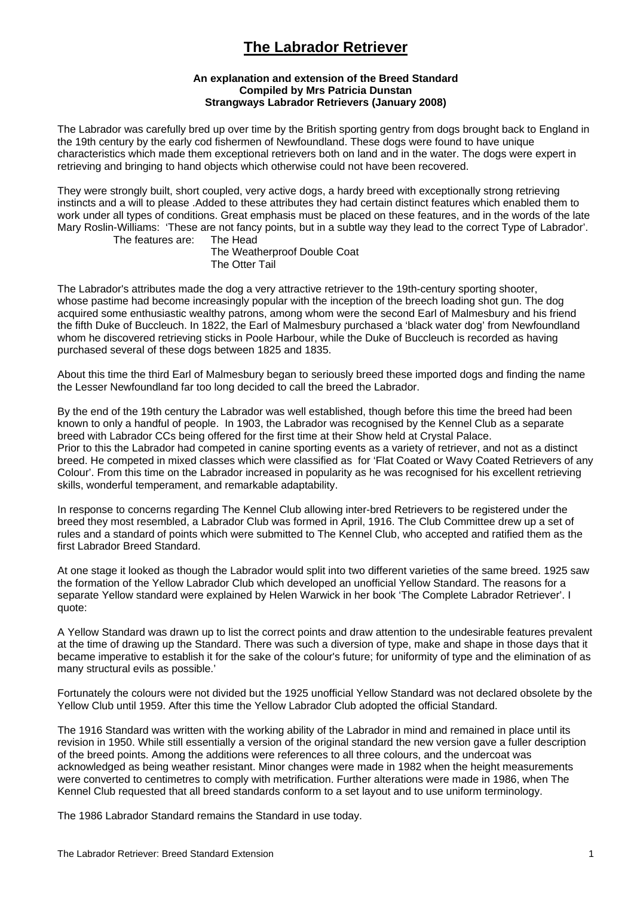# **The Labrador Retriever**

### **An explanation and extension of the Breed Standard Compiled by Mrs Patricia Dunstan Strangways Labrador Retrievers (January 2008)**

The Labrador was carefully bred up over time by the British sporting gentry from dogs brought back to England in the 19th century by the early cod fishermen of Newfoundland. These dogs were found to have unique characteristics which made them exceptional retrievers both on land and in the water. The dogs were expert in retrieving and bringing to hand objects which otherwise could not have been recovered.

They were strongly built, short coupled, very active dogs, a hardy breed with exceptionally strong retrieving instincts and a will to please .Added to these attributes they had certain distinct features which enabled them to work under all types of conditions. Great emphasis must be placed on these features, and in the words of the late Mary Roslin-Williams: 'These are not fancy points, but in a subtle way they lead to the correct Type of Labrador'. The features are:

 The Weatherproof Double Coat The Otter Tail

The Labrador's attributes made the dog a very attractive retriever to the 19th-century sporting shooter, whose pastime had become increasingly popular with the inception of the breech loading shot gun. The dog acquired some enthusiastic wealthy patrons, among whom were the second Earl of Malmesbury and his friend the fifth Duke of Buccleuch. In 1822, the Earl of Malmesbury purchased a 'black water dog' from Newfoundland whom he discovered retrieving sticks in Poole Harbour, while the Duke of Buccleuch is recorded as having purchased several of these dogs between 1825 and 1835.

About this time the third Earl of Malmesbury began to seriously breed these imported dogs and finding the name the Lesser Newfoundland far too long decided to call the breed the Labrador.

By the end of the 19th century the Labrador was well established, though before this time the breed had been known to only a handful of people. In 1903, the Labrador was recognised by the Kennel Club as a separate breed with Labrador CCs being offered for the first time at their Show held at Crystal Palace. Prior to this the Labrador had competed in canine sporting events as a variety of retriever, and not as a distinct breed. He competed in mixed classes which were classified as for 'Flat Coated or Wavy Coated Retrievers of any Colour'. From this time on the Labrador increased in popularity as he was recognised for his excellent retrieving skills, wonderful temperament, and remarkable adaptability.

In response to concerns regarding The Kennel Club allowing inter-bred Retrievers to be registered under the breed they most resembled, a Labrador Club was formed in April, 1916. The Club Committee drew up a set of rules and a standard of points which were submitted to The Kennel Club, who accepted and ratified them as the first Labrador Breed Standard.

At one stage it looked as though the Labrador would split into two different varieties of the same breed. 1925 saw the formation of the Yellow Labrador Club which developed an unofficial Yellow Standard. The reasons for a separate Yellow standard were explained by Helen Warwick in her book 'The Complete Labrador Retriever'. I quote:

A Yellow Standard was drawn up to list the correct points and draw attention to the undesirable features prevalent at the time of drawing up the Standard. There was such a diversion of type, make and shape in those days that it became imperative to establish it for the sake of the colour's future; for uniformity of type and the elimination of as many structural evils as possible.'

Fortunately the colours were not divided but the 1925 unofficial Yellow Standard was not declared obsolete by the Yellow Club until 1959. After this time the Yellow Labrador Club adopted the official Standard.

The 1916 Standard was written with the working ability of the Labrador in mind and remained in place until its revision in 1950. While still essentially a version of the original standard the new version gave a fuller description of the breed points. Among the additions were references to all three colours, and the undercoat was acknowledged as being weather resistant. Minor changes were made in 1982 when the height measurements were converted to centimetres to comply with metrification. Further alterations were made in 1986, when The Kennel Club requested that all breed standards conform to a set layout and to use uniform terminology.

The 1986 Labrador Standard remains the Standard in use today.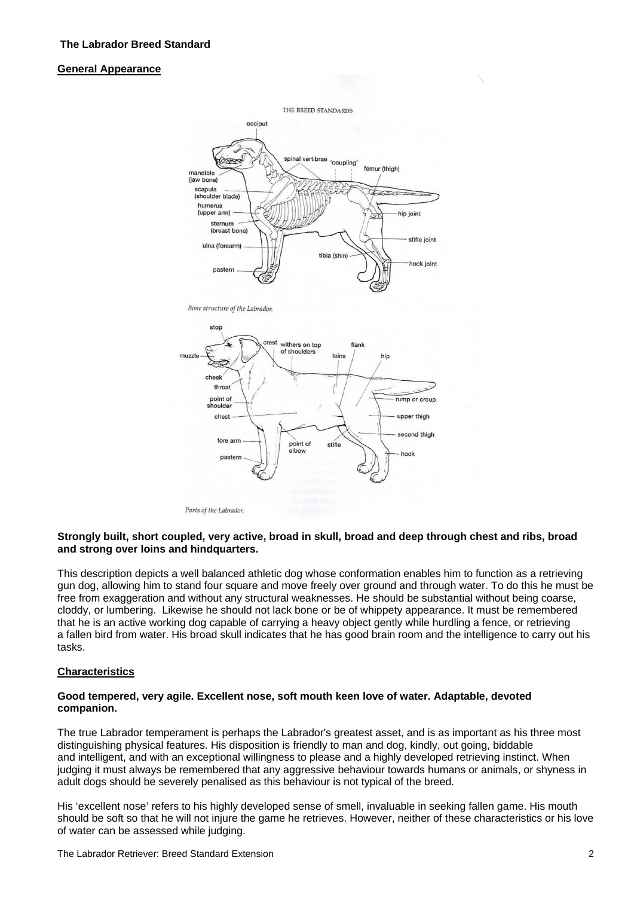### **General Appearance**



### **Strongly built, short coupled, very active, broad in skull, broad and deep through chest and ribs, broad and strong over loins and hindquarters.**

This description depicts a well balanced athletic dog whose conformation enables him to function as a retrieving gun dog, allowing him to stand four square and move freely over ground and through water. To do this he must be free from exaggeration and without any structural weaknesses. He should be substantial without being coarse, cloddy, or lumbering. Likewise he should not lack bone or be of whippety appearance. It must be remembered that he is an active working dog capable of carrying a heavy object gently while hurdling a fence, or retrieving a fallen bird from water. His broad skull indicates that he has good brain room and the intelligence to carry out his tasks.

### **Characteristics**

### **Good tempered, very agile. Excellent nose, soft mouth keen love of water. Adaptable, devoted companion.**

The true Labrador temperament is perhaps the Labrador's greatest asset, and is as important as his three most distinguishing physical features. His disposition is friendly to man and dog, kindly, out going, biddable and intelligent, and with an exceptional willingness to please and a highly developed retrieving instinct. When judging it must always be remembered that any aggressive behaviour towards humans or animals, or shyness in adult dogs should be severely penalised as this behaviour is not typical of the breed.

His 'excellent nose' refers to his highly developed sense of smell, invaluable in seeking fallen game. His mouth should be soft so that he will not injure the game he retrieves. However, neither of these characteristics or his love of water can be assessed while judging.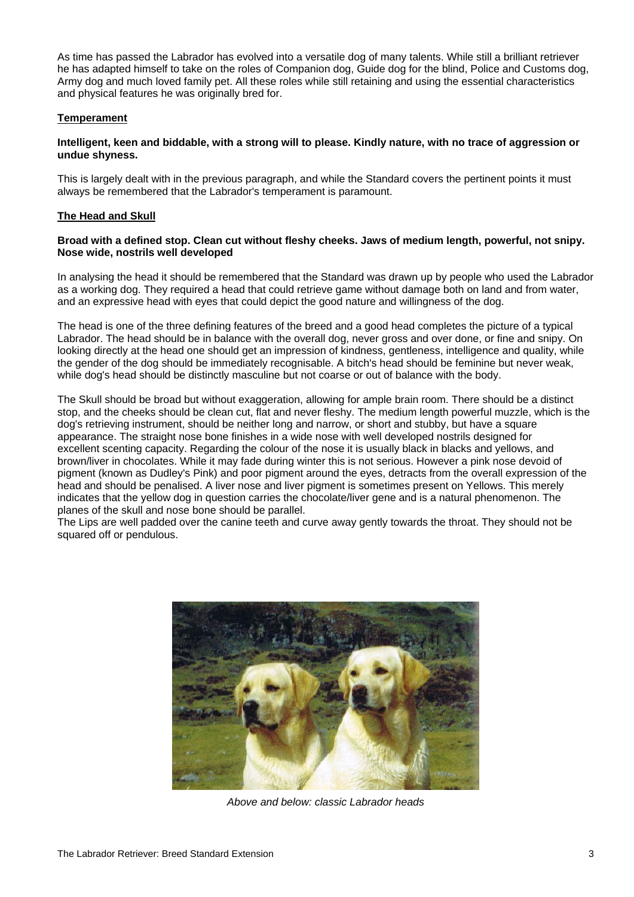he has adapted himself to take on the roles of Companion dog, Guide dog for the blind, Police and Customs dog, Army dog and much loved family pet. All these roles while still retaining and using the essential characteristics and physical features he was originally bred for. As time has passed the Labrador has evolved into a versatile dog of many talents. While still a brilliant retriever

# **Temperament**

### Intelligent, keen and biddable, with a strong will to please. Kindly nature, with no trace of aggression or **due shyness. un**

This is largely dealt with in the previous paragraph, and while the Standard covers the pertinent points it must always be remembered that the Labrador's temperament is paramount.

# **The Head and Skull**

### Broad with a defined stop. Clean cut without fleshy cheeks. Jaws of medium length, powerful, not snipy. **Nose wide, nostrils well developed**

In analysing the head it should be remembered that the Standard was drawn up by people who used the Labrador as a working dog. They required a head that could retrieve game without damage both on land and from water, and an expressive head with eyes that could depict the good nature and willingness of the dog.

looking directly at the head one should get an impression of kindness, gentleness, intelligence and quality, while the gender of the dog should be immediately recognisable. A bitch's head should be feminine but never weak, while dog's head should be distinctly masculine but not coarse or out of balance with the body. The head is one of the three defining features of the breed and a good head completes the picture of a typical Labrador. The head should be in balance with the overall dog, never gross and over done, or fine and snipy. On

stop, and the cheeks should be clean cut, flat and never fleshy. The medium length powerful muzzle, which is the pigment (known as Dudley's Pink) and poor pigment around the eyes, detracts from the overall expression of the indicates that the yellow dog in question carries the chocolate/liver gene and is a natural phenomenon. The The Skull should be broad but without exaggeration, allowing for ample brain room. There should be a distinct dog's retrieving instrument, should be neither long and narrow, or short and stubby, but have a square appearance. The straight nose bone finishes in a wide nose with well developed nostrils designed for excellent scenting capacity. Regarding the colour of the nose it is usually black in blacks and yellows, and brown/liver in chocolates. While it may fade during winter this is not serious. However a pink nose devoid of head and should be penalised. A liver nose and liver pigment is sometimes present on Yellows. This merely planes of the skull and nose bone should be parallel.

The Lips are well padded over the canine teeth and curve away gently towards the throat. They should not be squared off or pendulous.



*Above and below: classic Labrador heads*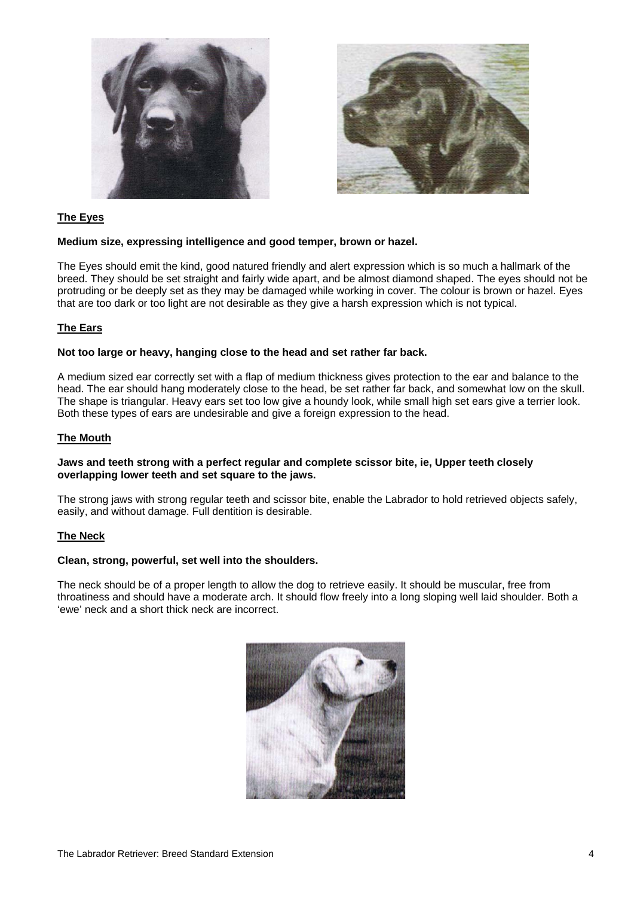



# **The Eyes**

### **Medium size, expressing intelligence and good temper, brown or hazel.**

The Eyes should emit the kind, good natured friendly and alert expression which is so much a hallmark of the breed. They should be set straight and fairly wide apart, and be almost diamond shaped. The eyes should not be protruding or be deeply set as they may be damaged while working in cover. The colour is brown or hazel. Eyes that are too dark or too light are not desirable as they give a harsh expression which is not typical.

# **The Ears**

### **Not too large or heavy, hanging close to the head and set rather far back.**

A medium sized ear correctly set with a flap of medium thickness gives protection to the ear and balance to the head. The ear should hang moderately close to the head, be set rather far back, and somewhat low on the skull. The shape is triangular. Heavy ears set too low give a houndy look, while small high set ears give a terrier look. Both these types of ears are undesirable and give a foreign expression to the head.

# **The Mouth**

### **Jaws and teeth strong with a perfect regular and complete scissor bite, ie, Upper teeth closely overlapping lower teeth and set square to the jaws.**

The strong jaws with strong regular teeth and scissor bite, enable the Labrador to hold retrieved objects safely, easily, and without damage. Full dentition is desirable.

### **The Neck**

### **Clean, strong, powerful, set well into the shoulders.**

The neck should be of a proper length to allow the dog to retrieve easily. It should be muscular, free from throatiness and should have a moderate arch. It should flow freely into a long sloping well laid shoulder. Both a 'ewe' neck and a short thick neck are incorrect.

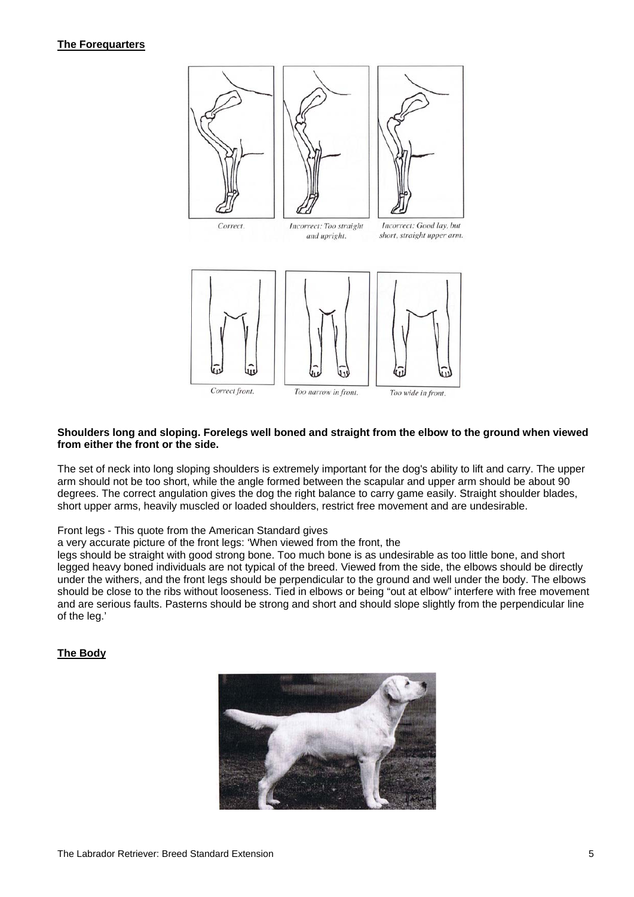# **The Forequarters**



#### **Shoulders long and sloping. Forelegs well boned and straight from the elbow to the ground when viewed from either the front or the side.**

The set of neck into long sloping shoulders is extremely important for the dog's ability to lift and carry. The upper arm should not be too short, while the angle formed between the scapular and upper arm should be about 90 degrees. The correct angulation gives the dog the right balance to carry game easily. Straight shoulder blades, short upper arms, heavily muscled or loaded shoulders, restrict free movement and are undesirable.

Front legs - This quote from the American Standard gives

a very accurate picture of the front legs: 'When viewed from the front, the

legs should be straight with good strong bone. Too much bone is as undesirable as too little bone, and short legged heavy boned individuals are not typical of the breed. Viewed from the side, the elbows should be directly under the withers, and the front legs should be perpendicular to the ground and well under the body. The elbows should be close to the ribs without looseness. Tied in elbows or being "out at elbow" interfere with free movement and are serious faults. Pasterns should be strong and short and should slope slightly from the perpendicular line of the leg.'

# **The Body**

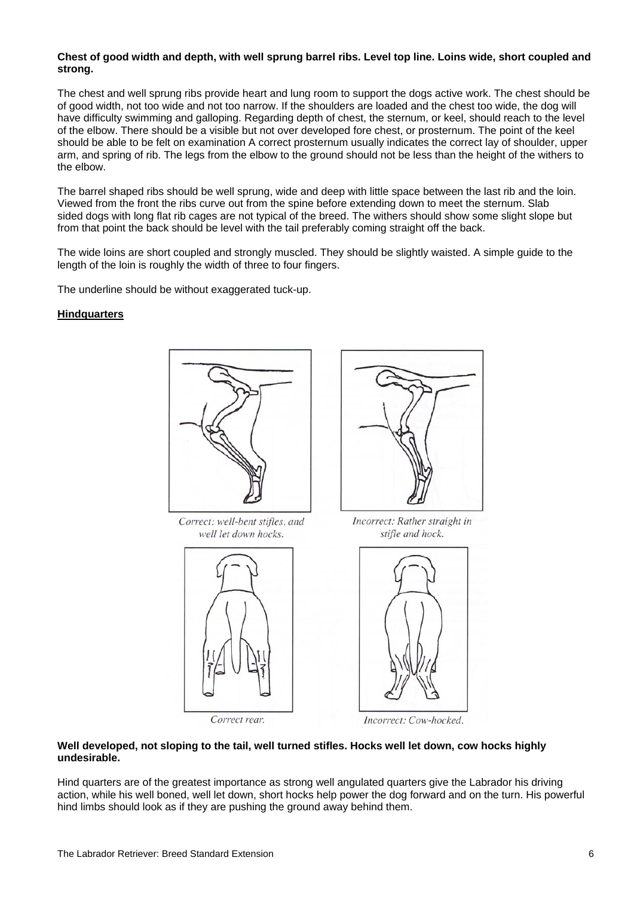### **Chest of good width and depth, with well sprung barrel ribs. Level top line. Loins wide, short coupled and strong.**

The chest and well sprung ribs provide heart and lung room to support the dogs active work. The chest should be of good width, not too wide and not too narrow. If the shoulders are loaded and the chest too wide, the dog will have difficulty swimming and galloping. Regarding depth of chest, the sternum, or keel, should reach to the level of the elbow. There should be a visible but not over developed fore chest, or prosternum. The point of the keel should be able to be felt on examination A correct prosternum usually indicates the correct lay of shoulder, upper arm, and spring of rib. The legs from the elbow to the ground should not be less than the height of the withers to the elbow.

The barrel shaped ribs should be well sprung, wide and deep with little space between the last rib and the loin. Viewed from the front the ribs curve out from the spine before extending down to meet the sternum. Slab sided dogs with long flat rib cages are not typical of the breed. The withers should show some slight slope but from that point the back should be level with the tail preferably coming straight off the back.

The wide loins are short coupled and strongly muscled. They should be slightly waisted. A simple guide to the length of the loin is roughly the width of three to four fingers.

The underline should be without exaggerated tuck-up.

# **Hindquarters**



Correct: well-bent stifles, and well let down hocks.







Incorrect: Rather straight in stifle and hock.



Incorrect: Cow-hocked.

### **Well developed, not sloping to the tail, well turned stifles. Hocks well let down, cow hocks highly undesirable.**

Hind quarters are of the greatest importance as strong well angulated quarters give the Labrador his driving action, while his well boned, well let down, short hocks help power the dog forward and on the turn. His powerful hind limbs should look as if they are pushing the ground away behind them.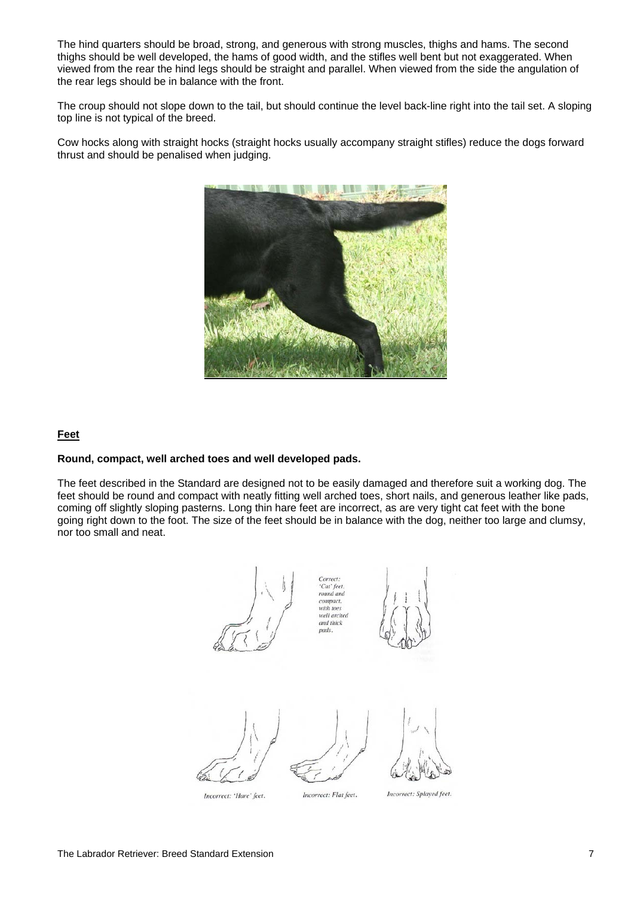The hind quarters should be broad, strong, and generous with strong muscles, thighs and hams. The second thighs should be well developed, the hams of good width, and the stifles well bent but not exaggerated. When viewed from the rear the hind legs should be straight and parallel. When viewed from the side the angulation of the rear legs should be in balance with the front.

The croup should not slope down to the tail, but should continue the level back-line right into the tail set. A sloping top line is not typical of the breed.

Cow hocks along with straight hocks (straight hocks usually accompany straight stifles) reduce the dogs forward thrust and should be penalised when judging.



# **Feet**

# **Round, compact, well arched toes and well developed pads.**

The feet described in the Standard are designed not to be easily damaged and therefore suit a working dog. The feet should be round and compact with neatly fitting well arched toes, short nails, and generous leather like pads, coming off slightly sloping pasterns. Long thin hare feet are incorrect, as are very tight cat feet with the bone going right down to the foot. The size of the feet should be in balance with the dog, neither too large and clumsy, nor too small and neat.



Incorrect: 'Hare' feet.

Incorrect: Flat feet.

Incorrect: Splayed feet.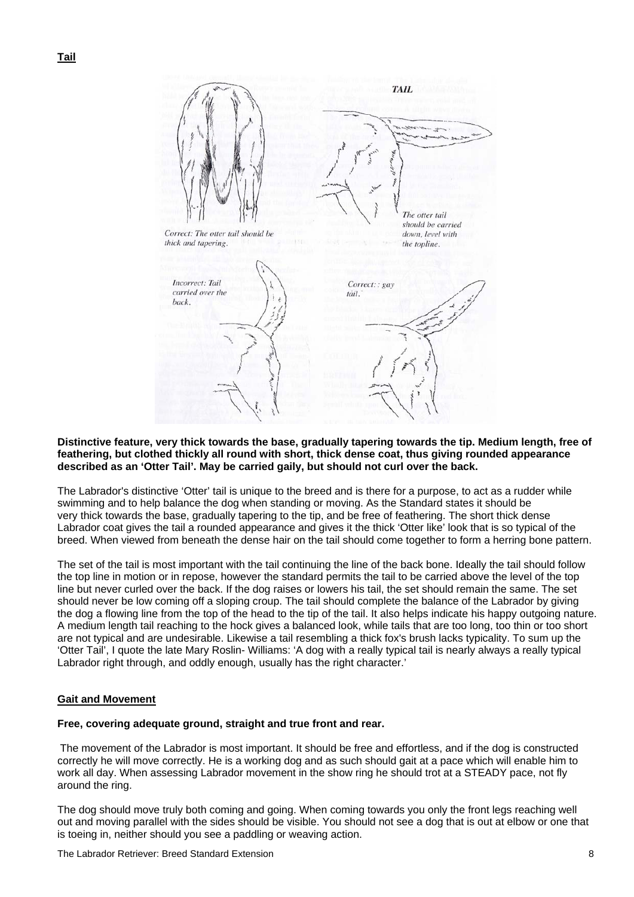

### **Distinctive feature, very thick towards the base, gradually tapering towards the tip. Medium length, free of feathering, but clothed thickly all round with short, thick dense coat, thus giving rounded appearance described as an 'Otter Tail'. May be carried gaily, but should not curl over the back.**

The Labrador's distinctive 'Otter' tail is unique to the breed and is there for a purpose, to act as a rudder while swimming and to help balance the dog when standing or moving. As the Standard states it should be very thick towards the base, gradually tapering to the tip, and be free of feathering. The short thick dense Labrador coat gives the tail a rounded appearance and gives it the thick 'Otter like' look that is so typical of the breed. When viewed from beneath the dense hair on the tail should come together to form a herring bone pattern.

The set of the tail is most important with the tail continuing the line of the back bone. Ideally the tail should follow the top line in motion or in repose, however the standard permits the tail to be carried above the level of the top line but never curled over the back. If the dog raises or lowers his tail, the set should remain the same. The set should never be low coming off a sloping croup. The tail should complete the balance of the Labrador by giving the dog a flowing line from the top of the head to the tip of the tail. It also helps indicate his happy outgoing nature. A medium length tail reaching to the hock gives a balanced look, while tails that are too long, too thin or too short are not typical and are undesirable. Likewise a tail resembling a thick fox's brush lacks typicality. To sum up the 'Otter Tail', I quote the late Mary Roslin- Williams: 'A dog with a really typical tail is nearly always a really typical Labrador right through, and oddly enough, usually has the right character.'

# **Gait and Movement**

### **Free, covering adequate ground, straight and true front and rear.**

The movement of the Labrador is most important. It should be free and effortless, and if the dog is constructed correctly he will move correctly. He is a working dog and as such should gait at a pace which will enable him to work all day. When assessing Labrador movement in the show ring he should trot at a STEADY pace, not fly around the ring.

The dog should move truly both coming and going. When coming towards you only the front legs reaching well out and moving parallel with the sides should be visible. You should not see a dog that is out at elbow or one that is toeing in, neither should you see a paddling or weaving action.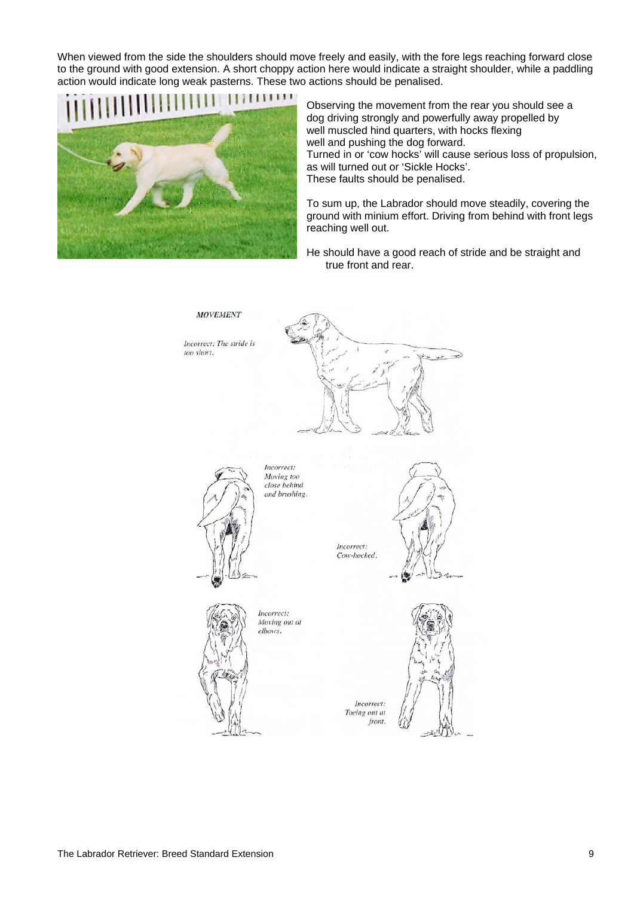When viewed from the side the shoulders should move freely and easily, with the fore legs reaching forward close to the ground with good extension. A short choppy action here would indicate a straight shoulder, while a paddling action would indicate long weak pasterns. These two actions should be penalised.



Observing the movement from the rear you should see a dog driving strongly and powerfully away propelled by well muscled hind quarters, with hocks flexing well and pushing the dog forward. Turned in or 'cow hocks' will cause serious loss of propulsion, as will turned out or 'Sickle Hocks'. These faults should be penalised.

To sum up, the Labrador should move steadily, covering the ground with minium effort. Driving from behind with front legs reaching well out.

He should have a good reach of stride and be straight and true front and rear.

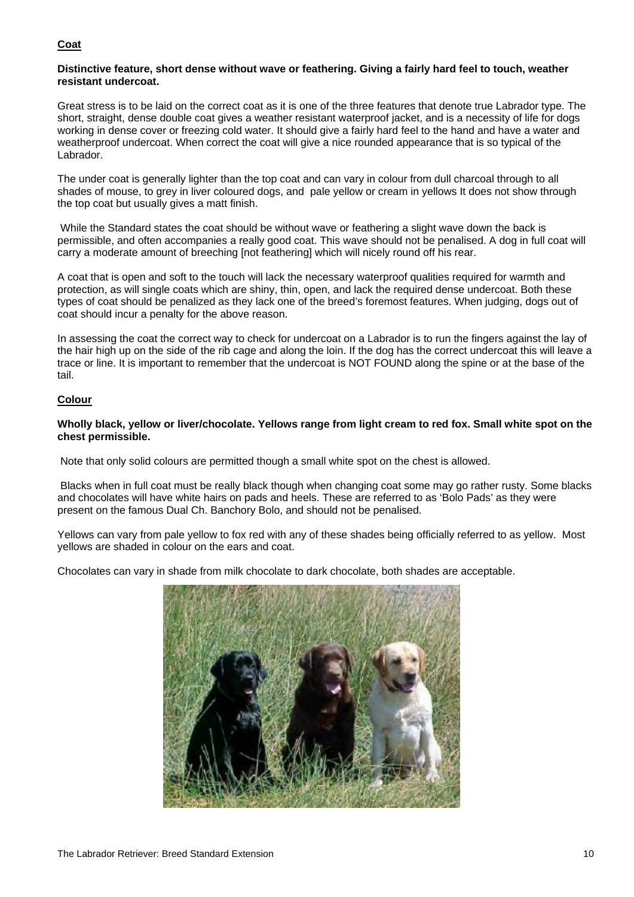# **Coat**

## **Distinctive feature, short dense without wave or feathering. Giving a fairly hard feel to touch, weather resistant undercoat.**

Great stress is to be laid on the correct coat as it is one of the three features that denote true Labrador type. The short, straight, dense double coat gives a weather resistant waterproof jacket, and is a necessity of life for dogs working in dense cover or freezing cold water. It should give a fairly hard feel to the hand and have a water and weatherproof undercoat. When correct the coat will give a nice rounded appearance that is so typical of the Labrador.

The under coat is generally lighter than the top coat and can vary in colour from dull charcoal through to all shades of mouse, to grey in liver coloured dogs, and pale yellow or cream in yellows It does not show through the top coat but usually gives a matt finish.

 While the Standard states the coat should be without wave or feathering a slight wave down the back is permissible, and often accompanies a really good coat. This wave should not be penalised. A dog in full coat will carry a moderate amount of breeching [not feathering] which will nicely round off his rear.

A coat that is open and soft to the touch will lack the necessary waterproof qualities required for warmth and protection, as will single coats which are shiny, thin, open, and lack the required dense undercoat. Both these types of coat should be penalized as they lack one of the breed's foremost features. When judging, dogs out of coat should incur a penalty for the above reason.

In assessing the coat the correct way to check for undercoat on a Labrador is to run the fingers against the lay of the hair high up on the side of the rib cage and along the loin. If the dog has the correct undercoat this will leave a trace or line. It is important to remember that the undercoat is NOT FOUND along the spine or at the base of the tail.

# **Colour**

# **Wholly black, yellow or liver/chocolate. Yellows range from light cream to red fox. Small white spot on the chest permissible.**

Note that only solid colours are permitted though a small white spot on the chest is allowed.

 Blacks when in full coat must be really black though when changing coat some may go rather rusty. Some blacks and chocolates will have white hairs on pads and heels. These are referred to as 'Bolo Pads' as they were present on the famous Dual Ch. Banchory Bolo, and should not be penalised.

Yellows can vary from pale yellow to fox red with any of these shades being officially referred to as yellow. Most yellows are shaded in colour on the ears and coat.

Chocolates can vary in shade from milk chocolate to dark chocolate, both shades are acceptable.